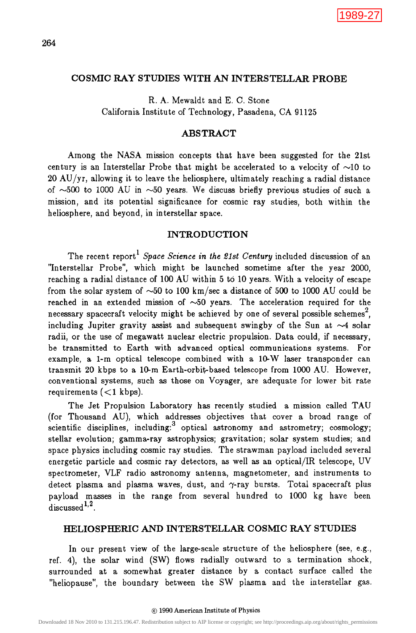## COSMIC RAY STUDIES WITH AN INTERSTELLAR PROBE

R. A. Mewaldt and E. C. Stone California Institute of Technology, Pasadena, CA 91125

# ABSTRACT

Among the NASA mission concepts that have been suggested for the 21st century is an Interstellar Probe that might be accelerated to a velocity of  $\sim10$  to 20 AU/yr, allowing it to leave the heliosphere, ultimately reaching a radial distance of  $\sim$ 500 to 1000 AU in  $\sim$ 50 years. We discuss briefly previous studies of such a mission, and its potential significance for cosmic ray studies, both within the heliosphere, and beyond, in interstellar space.

### INTRODUCTION

The recent report<sup>1</sup> *Space Science in the 21st Century* included discussion of an "Interstellar Probe", which might be launched sometime after the year 2000, reaching a radial distance of 100 AU within 5 to 10 years. With a velocity of escape from the solar system of  $\sim 50$  to 100 km/sec a distance of 500 to 1000 AU could be reached in an extended mission of  $~50$  years. The acceleration required for the necessary spacecraft velocity might be achieved by one of several possible schemes<sup>2</sup>, including Jupiter gravity assist and subsequent swingby of the Sun at  $\sim$ 4 solar radii, or the use of megawatt nuclear electric propulsion. Data could, if necessary, be transmitted to Earth with advanced optical communications systems. For example, a 1-m optical telescope combined with a 10-W laser transponder can transmit 20 kbps to a 10-m Earth-orbit-based telescope from 1000 AU. However, conventional systems, such as those on Voyager, are adequate for lower bit rate requirements  $(<1 \text{ kbps})$ .  $[1989-27$ <br>
COSMIC RAY STUDIES WITH AN INTERSTELLAR PROBE<br>
California Institute of Technology, Passdera, CA 91125.<br>
Among the NASA mission concepts that have been suggested for the 21x1.<br>
20 AU/71, allowing it to leave th

The Jet Propulsion Laboratory has recently studied a mission called TAU (for Thousand AU), which addresses objectives that cover a broad range of scientific disciplines, including: $3$  optical astronomy and astrometry; cosmology; stellar evolution; gamma-ray astrophysics; gravitation; solar system studies; and space physics including cosmic ray studies. The strawman payload included several energetic particle and cosmic ray detectors, as well as an optical/IR telescope, UV spectrometer, VLF radio astronomy antenna, magnetometer, and instruments to detect plasma and plasma waves, dust, and  $\gamma$ -ray bursts. Total spacecraft plus payload masses in the range from several hundred to 1000 kg have been discussed  $1,2$ .

### HELIOSPHERIC AND INTERSTELLAR COSMIC RAY STUDIES

In our present view of the large-scale structure of the heliosphere (see, e.g., ref. 4), the solar wind (SW) flows radially outward to a termination shock, surrounded at a somewhat greater distance by a contact surface called the "heliopause", the boundary between the SW plasma and the interstellar gas.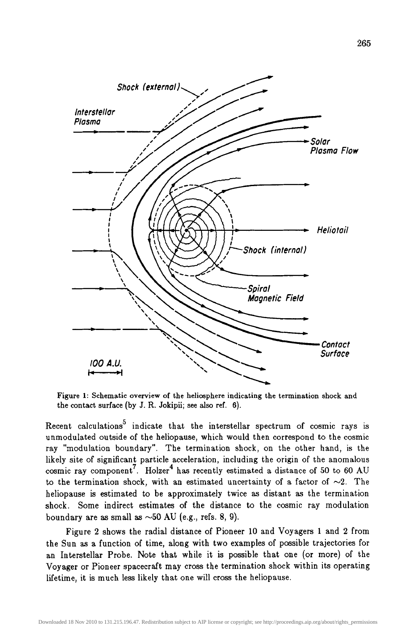

Figure I: Schematic overview of the heliosphere indicating the termination shock and the contact surface (by J. R. Jokipii; see also ref. 6).

Recent calculations<sup>5</sup> indicate that the interstellar spectrum of cosmic rays is unmodulated outside of the heliopause, which would then correspond to the cosmic ray "modulation boundary". The termination shock, on the other hand, is the likely site of significant particle acceleration, including the origin of the anomalous cosmic ray component'. Holzer<sup>4</sup> has recently estimated a distance of 50 to 60 AU to the termination shock, with an estimated uncertainty of a factor of  $\sim$ 2. The heliopause is estimated to be approximately twice as distant as the termination shock. Some indirect estimates of the distance to the cosmic ray modulation boundary are as small as  $\sim$ 50 AU (e.g., refs. 8, 9).

Figure 2 shows the radial distance of Pioneer 10 and Voyagers 1 and 2 from the Sun as a function of time, along with two examples of possible trajectories for an Interstellar Probe. Note that while it is possible that one (or more) of the Voyager or Pioneer spacecraft may cross the termination shock within its operating lifetime, it is much less likely that one will cross the heliopause.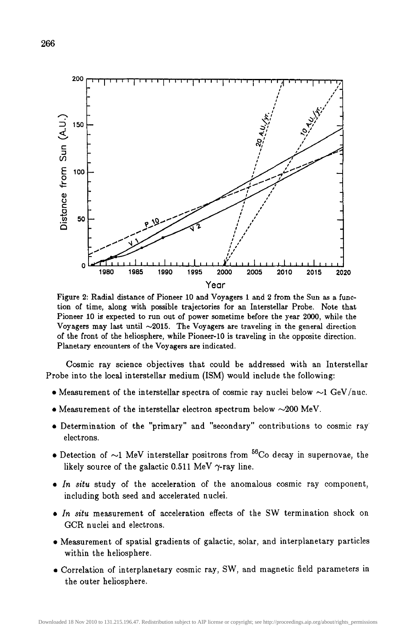

Figure 2: Radial distance of Pioneer 10 and Voyagers 1 and 2 from the Sun as a function of time, along with possible trajectories for an Interstellar Probe. Note that Pioneer 10 is expected to run out of power sometime before the year 2000, while the Voyagers may last until  $\sim 2015$ . The Voyagers are traveling in the general direction of the front of the heliosphere, while Pioneer-10 is traveling in the opposite direction. Planetary encounters of the Voyagers are indicated.

Cosmic ray science objectives that could be addressed with an Interstellar Probe into the local interstellar medium (ISM) would include the following:

- Measurement of the interstellar spectra of cosmic ray nuclei below  $\sim$ 1 GeV/nuc.
- Measurement of the interstellar electron spectrum below  $\sim$ 200 MeV.
- Determination of the "primary" and "secondary" contributions to cosmic ray electrons.
- Detection of  $\sim$ 1 MeV interstellar positrons from <sup>56</sup>Co decay in supernovae, the likely source of the galactic 0.511 MeV  $\gamma$ -ray line.
- *In situ* study of the acceleration of the anomalous cosmic ray component, including both seed and accelerated nuclei.
- *In situ* measurement of acceleration effects of the SW termination shock on GCR nuclei and electrons.
- Measurement of spatial gradients of galactic, solar, and interplanetary particles within the heliosphere.
- Correlation of interplanetary cosmic ray, SW, and magnetic field parameters in the outer heliosphere.